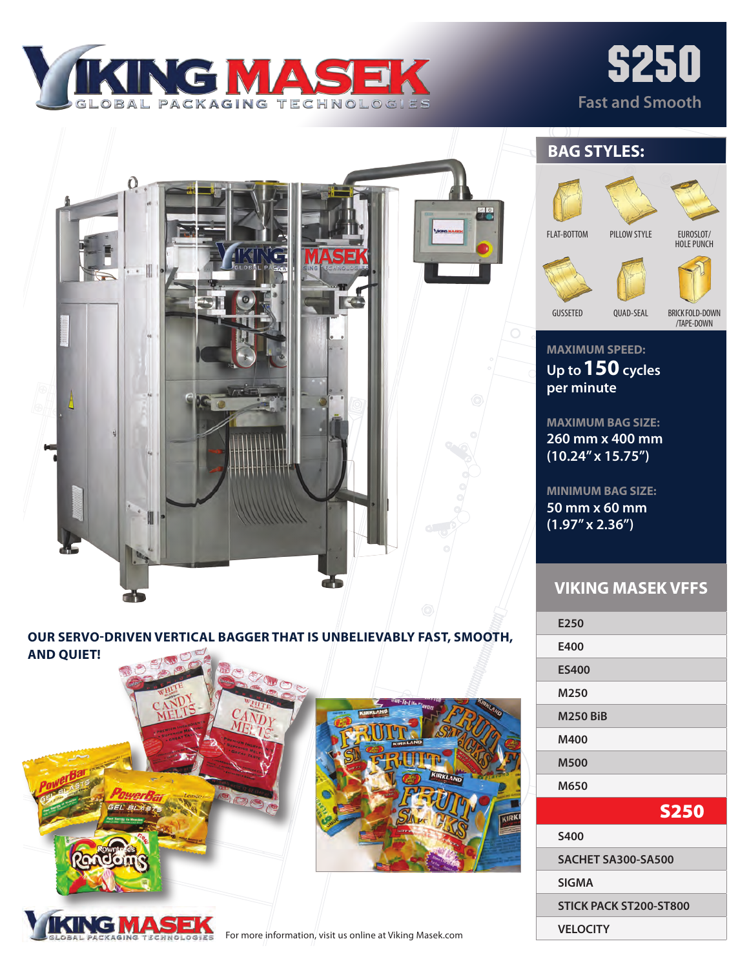

# s250 **Fast and Smooth**



## **OUR SERVO-DRIVEN VERTICAL BAGGER THAT IS UNBELIEVABLY FAST, SMOOTH,**







**BAG STYLES:**

FLAT-BOTTOM

PILLOW STYLE

BRICK FOLD-DOWN

/TAPE-DOWN

EUROSLOT/ HOLE PUNCH

**MAXIMUM SPEED: Up to 150 cycles per minute**

GUSSETED QUAD-SEAL

**MAXIMUM BAG SIZE: 260 mm x 400 mm (10.24" x 15.75")** 

**MINIMUM BAG SIZE: 50 mm x 60 mm (1.97" x 2.36")**

### **VIKING MASEK VFFS**

**E250 E400 ES400 M250 M250 BiB M400 M500 M650** S250 **S400 SACHET SA300-SA500 SIGMA STICK PACK ST200-ST800 VELOCITY**

For more information, visit us online at Viking Masek.com